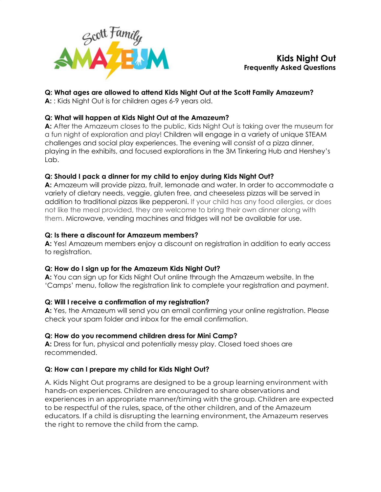

## **Q: What ages are allowed to attend Kids Night Out at the Scott Family Amazeum?**

**A:** : Kids Night Out is for children ages 6-9 years old.

## **Q: What will happen at Kids Night Out at the Amazeum?**

**A:** After the Amazeum closes to the public, Kids Night Out is taking over the museum for a fun night of exploration and play! Children will engage in a variety of unique STEAM challenges and social play experiences. The evening will consist of a pizza dinner, playing in the exhibits, and focused explorations in the 3M Tinkering Hub and Hershey's Lab.

## **Q: Should I pack a dinner for my child to enjoy during Kids Night Out?**

**A:** Amazeum will provide pizza, fruit, lemonade and water. In order to accommodate a variety of dietary needs, veggie, gluten free, and cheeseless pizzas will be served in addition to traditional pizzas like pepperoni. If your child has any food allergies, or does not like the meal provided, they are welcome to bring their own dinner along with them. Microwave, vending machines and fridges will not be available for use.

#### **Q: Is there a discount for Amazeum members?**

**A:** Yes! Amazeum members enjoy a discount on registration in addition to early access to registration.

#### **Q: How do I sign up for the Amazeum Kids Night Out?**

**A:** You can sign up for Kids Night Out online through the Amazeum website. In the 'Camps' menu, follow the registration link to complete your registration and payment.

#### **Q: Will I receive a confirmation of my registration?**

**A:** Yes, the Amazeum will send you an email confirming your online registration. Please check your spam folder and inbox for the email confirmation.

#### **Q: How do you recommend children dress for Mini Camp?**

**A:** Dress for fun, physical and potentially messy play. Closed toed shoes are recommended.

# **Q: How can I prepare my child for Kids Night Out?**

A. Kids Night Out programs are designed to be a group learning environment with hands-on experiences. Children are encouraged to share observations and experiences in an appropriate manner/timing with the group. Children are expected to be respectful of the rules, space, of the other children, and of the Amazeum educators. If a child is disrupting the learning environment, the Amazeum reserves the right to remove the child from the camp.